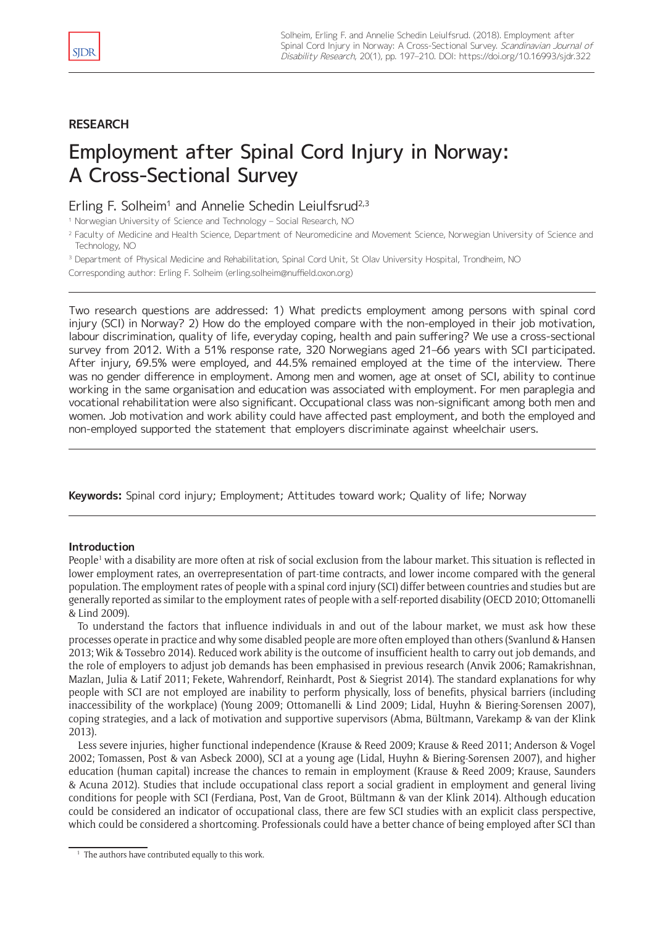# **RESEARCH**

# Employment after Spinal Cord Injury in Norway: A Cross-Sectional Survey

# Erling F. Solheim<sup>1</sup> and Annelie Schedin Leiulfsrud<sup>2,3</sup>

<sup>1</sup> Norwegian University of Science and Technology – Social Research, NO

<sup>3</sup> Department of Physical Medicine and Rehabilitation, Spinal Cord Unit, St Olav University Hospital, Trondheim, NO

Corresponding author: Erling F. Solheim ([erling.solheim@nuffield.oxon.org](mailto:erling.solheim@nuffield.oxon.org))

Two research questions are addressed: 1) What predicts employment among persons with spinal cord injury (SCI) in Norway? 2) How do the employed compare with the non-employed in their job motivation, labour discrimination, quality of life, everyday coping, health and pain suffering? We use a cross-sectional survey from 2012. With a 51% response rate, 320 Norwegians aged 21–66 years with SCI participated. After injury, 69.5% were employed, and 44.5% remained employed at the time of the interview. There was no gender difference in employment. Among men and women, age at onset of SCI, ability to continue working in the same organisation and education was associated with employment. For men paraplegia and vocational rehabilitation were also significant. Occupational class was non-significant among both men and women. Job motivation and work ability could have affected past employment, and both the employed and non-employed supported the statement that employers discriminate against wheelchair users.

**Keywords:** Spinal cord injury; Employment; Attitudes toward work; Quality of life; Norway

# **Introduction**

People<sup>1</sup> with a disability are more often at risk of social exclusion from the labour market. This situation is reflected in lower employment rates, an overrepresentation of part-time contracts, and lower income compared with the general population. The employment rates of people with a spinal cord injury (SCI) differ between countries and studies but are generally reported as similar to the employment rates of people with a self-reported disability (OECD 2010; Ottomanelli & Lind 2009).

To understand the factors that influence individuals in and out of the labour market, we must ask how these processes operate in practice and why some disabled people are more often employed than others (Svanlund & Hansen 2013; Wik & Tøssebro 2014). Reduced work ability is the outcome of insufficient health to carry out job demands, and the role of employers to adjust job demands has been emphasised in previous research (Anvik 2006; Ramakrishnan, Mazlan, Julia & Latif 2011; Fekete, Wahrendorf, Reinhardt, Post & Siegrist 2014). The standard explanations for why people with SCI are not employed are inability to perform physically, loss of benefits, physical barriers (including inaccessibility of the workplace) (Young 2009; Ottomanelli & Lind 2009; Lidal, Huyhn & Biering-Sørensen 2007), coping strategies, and a lack of motivation and supportive supervisors (Abma, Bültmann, Varekamp & van der Klink 2013).

Less severe injuries, higher functional independence (Krause & Reed 2009; Krause & Reed 2011; Anderson & Vogel 2002; Tomassen, Post & van Asbeck 2000), SCI at a young age (Lidal, Huyhn & Biering-Sørensen 2007), and higher education (human capital) increase the chances to remain in employment (Krause & Reed 2009; Krause, Saunders & Acuna 2012). Studies that include occupational class report a social gradient in employment and general living conditions for people with SCI (Ferdiana, Post, Van de Groot, Bültmann & van der Klink 2014). Although education could be considered an indicator of occupational class, there are few SCI studies with an explicit class perspective, which could be considered a shortcoming. Professionals could have a better chance of being employed after SCI than

<sup>&</sup>lt;sup>2</sup> Faculty of Medicine and Health Science, Department of Neuromedicine and Movement Science, Norwegian University of Science and Technology, NO

<sup>&</sup>lt;sup>1</sup> The authors have contributed equally to this work.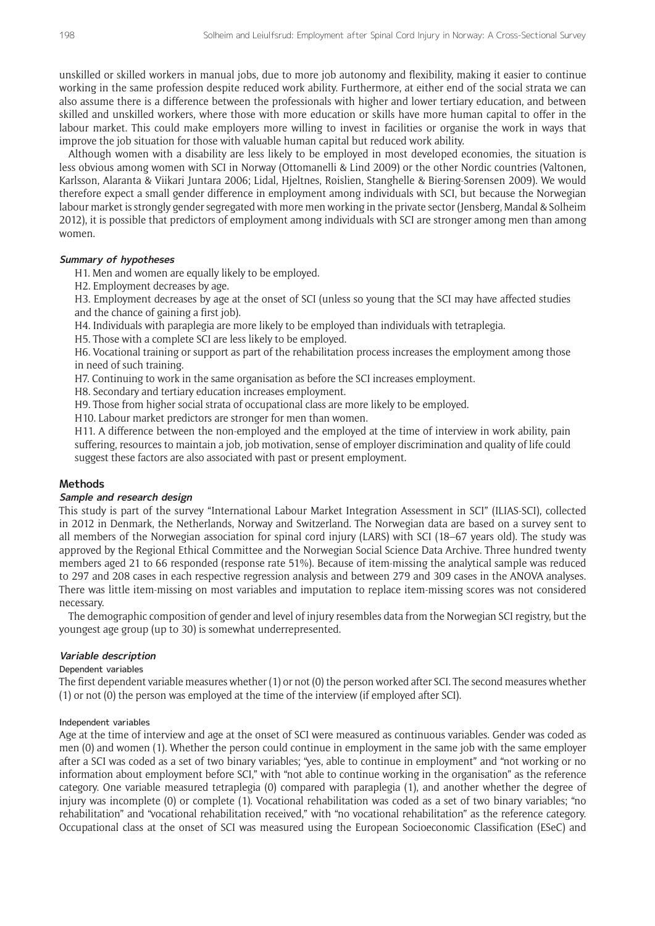unskilled or skilled workers in manual jobs, due to more job autonomy and flexibility, making it easier to continue working in the same profession despite reduced work ability. Furthermore, at either end of the social strata we can also assume there is a difference between the professionals with higher and lower tertiary education, and between skilled and unskilled workers, where those with more education or skills have more human capital to offer in the labour market. This could make employers more willing to invest in facilities or organise the work in ways that improve the job situation for those with valuable human capital but reduced work ability.

Although women with a disability are less likely to be employed in most developed economies, the situation is less obvious among women with SCI in Norway (Ottomanelli & Lind 2009) or the other Nordic countries (Valtonen, Karlsson, Alaranta & Viikari Juntara 2006; Lidal, Hjeltnes, Røislien, Stanghelle & Biering-Sørensen 2009). We would therefore expect a small gender difference in employment among individuals with SCI, but because the Norwegian labour market is strongly gender segregated with more men working in the private sector (Jensberg, Mandal & Solheim 2012), it is possible that predictors of employment among individuals with SCI are stronger among men than among women.

## **Summary of hypotheses**

H1. Men and women are equally likely to be employed.

H2. Employment decreases by age.

H3. Employment decreases by age at the onset of SCI (unless so young that the SCI may have affected studies and the chance of gaining a first job).

H4. Individuals with paraplegia are more likely to be employed than individuals with tetraplegia.

H5. Those with a complete SCI are less likely to be employed.

H6. Vocational training or support as part of the rehabilitation process increases the employment among those in need of such training.

H7. Continuing to work in the same organisation as before the SCI increases employment.

H8. Secondary and tertiary education increases employment.

H9. Those from higher social strata of occupational class are more likely to be employed.

H10. Labour market predictors are stronger for men than women.

H11. A difference between the non-employed and the employed at the time of interview in work ability, pain suffering, resources to maintain a job, job motivation, sense of employer discrimination and quality of life could suggest these factors are also associated with past or present employment.

#### **Methods**

## **Sample and research design**

This study is part of the survey "International Labour Market Integration Assessment in SCI" (ILIAS-SCI), collected in 2012 in Denmark, the Netherlands, Norway and Switzerland. The Norwegian data are based on a survey sent to all members of the Norwegian association for spinal cord injury (LARS) with SCI (18–67 years old). The study was approved by the Regional Ethical Committee and the Norwegian Social Science Data Archive. Three hundred twenty members aged 21 to 66 responded (response rate 51%). Because of item-missing the analytical sample was reduced to 297 and 208 cases in each respective regression analysis and between 279 and 309 cases in the ANOVA analyses. There was little item-missing on most variables and imputation to replace item-missing scores was not considered necessary.

The demographic composition of gender and level of injury resembles data from the Norwegian SCI registry, but the youngest age group (up to 30) is somewhat underrepresented.

# **Variable description**

## Dependent variables

The first dependent variable measures whether (1) or not (0) the person worked after SCI. The second measures whether (1) or not (0) the person was employed at the time of the interview (if employed after SCI).

#### Independent variables

Age at the time of interview and age at the onset of SCI were measured as continuous variables. Gender was coded as men (0) and women (1). Whether the person could continue in employment in the same job with the same employer after a SCI was coded as a set of two binary variables; "yes, able to continue in employment" and "not working or no information about employment before SCI," with "not able to continue working in the organisation" as the reference category. One variable measured tetraplegia (0) compared with paraplegia (1), and another whether the degree of injury was incomplete (0) or complete (1). Vocational rehabilitation was coded as a set of two binary variables; "no rehabilitation" and "vocational rehabilitation received," with "no vocational rehabilitation" as the reference category. Occupational class at the onset of SCI was measured using the European Socioeconomic Classification (ESeC) and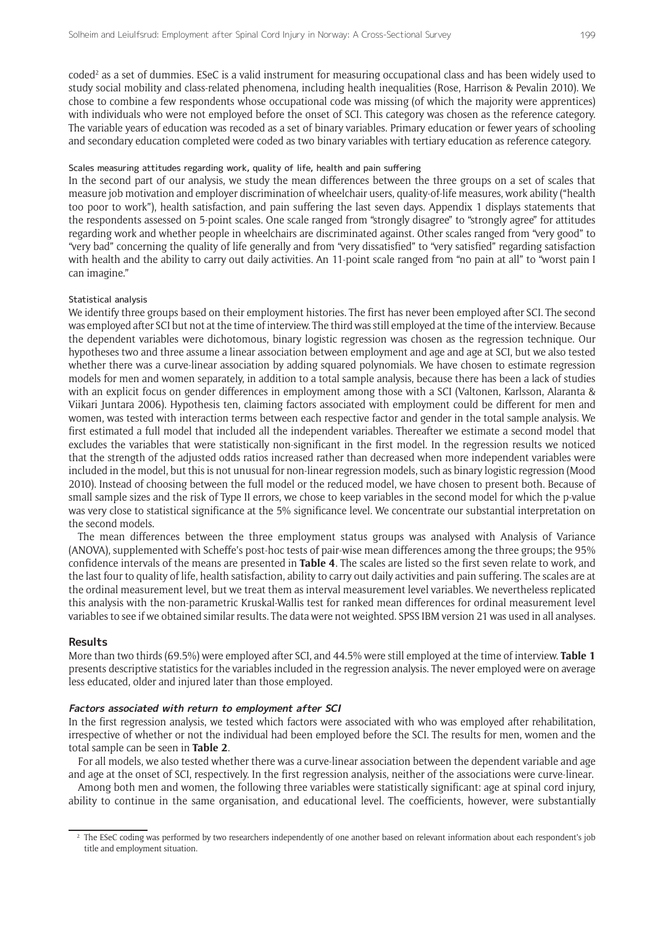coded<sup>2</sup> as a set of dummies. ESeC is a valid instrument for measuring occupational class and has been widely used to study social mobility and class-related phenomena, including health inequalities (Rose, Harrison & Pevalin 2010). We chose to combine a few respondents whose occupational code was missing (of which the majority were apprentices) with individuals who were not employed before the onset of SCI. This category was chosen as the reference category. The variable years of education was recoded as a set of binary variables. Primary education or fewer years of schooling and secondary education completed were coded as two binary variables with tertiary education as reference category.

#### Scales measuring attitudes regarding work, quality of life, health and pain suffering

In the second part of our analysis, we study the mean differences between the three groups on a set of scales that measure job motivation and employer discrimination of wheelchair users, quality-of-life measures, work ability ("health too poor to work"), health satisfaction, and pain suffering the last seven days. Appendix 1 displays statements that the respondents assessed on 5-point scales. One scale ranged from "strongly disagree" to "strongly agree" for attitudes regarding work and whether people in wheelchairs are discriminated against. Other scales ranged from "very good" to "very bad" concerning the quality of life generally and from "very dissatisfied" to "very satisfied" regarding satisfaction with health and the ability to carry out daily activities. An 11-point scale ranged from "no pain at all" to "worst pain I can imagine."

#### Statistical analysis

We identify three groups based on their employment histories. The first has never been employed after SCI. The second was employed after SCI but not at the time of interview. The third was still employed at the time of the interview. Because the dependent variables were dichotomous, binary logistic regression was chosen as the regression technique. Our hypotheses two and three assume a linear association between employment and age and age at SCI, but we also tested whether there was a curve-linear association by adding squared polynomials. We have chosen to estimate regression models for men and women separately, in addition to a total sample analysis, because there has been a lack of studies with an explicit focus on gender differences in employment among those with a SCI (Valtonen, Karlsson, Alaranta & Viikari Juntara 2006). Hypothesis ten, claiming factors associated with employment could be different for men and women, was tested with interaction terms between each respective factor and gender in the total sample analysis. We first estimated a full model that included all the independent variables. Thereafter we estimate a second model that excludes the variables that were statistically non-significant in the first model. In the regression results we noticed that the strength of the adjusted odds ratios increased rather than decreased when more independent variables were included in the model, but this is not unusual for non-linear regression models, such as binary logistic regression (Mood 2010). Instead of choosing between the full model or the reduced model, we have chosen to present both. Because of small sample sizes and the risk of Type II errors, we chose to keep variables in the second model for which the p-value was very close to statistical significance at the 5% significance level. We concentrate our substantial interpretation on the second models.

The mean differences between the three employment status groups was analysed with Analysis of Variance (ANOVA), supplemented with Scheffe's post-hoc tests of pair-wise mean differences among the three groups; the 95% confidence intervals of the means are presented in **Table 4**. The scales are listed so the first seven relate to work, and the last four to quality of life, health satisfaction, ability to carry out daily activities and pain suffering. The scales are at the ordinal measurement level, but we treat them as interval measurement level variables. We nevertheless replicated this analysis with the non-parametric Kruskal-Wallis test for ranked mean differences for ordinal measurement level variables to see if we obtained similar results. The data were not weighted. SPSS IBM version 21 was used in all analyses.

#### **Results**

More than two thirds (69.5%) were employed after SCI, and 44.5% were still employed at the time of interview. **Table 1** presents descriptive statistics for the variables included in the regression analysis. The never employed were on average less educated, older and injured later than those employed.

#### **Factors associated with return to employment after SCI**

In the first regression analysis, we tested which factors were associated with who was employed after rehabilitation, irrespective of whether or not the individual had been employed before the SCI. The results for men, women and the total sample can be seen in **Table 2**.

For all models, we also tested whether there was a curve-linear association between the dependent variable and age and age at the onset of SCI, respectively. In the first regression analysis, neither of the associations were curve-linear.

Among both men and women, the following three variables were statistically significant: age at spinal cord injury, ability to continue in the same organisation, and educational level. The coefficients, however, were substantially

<sup>&</sup>lt;sup>2</sup> The ESeC coding was performed by two researchers independently of one another based on relevant information about each respondent's job title and employment situation.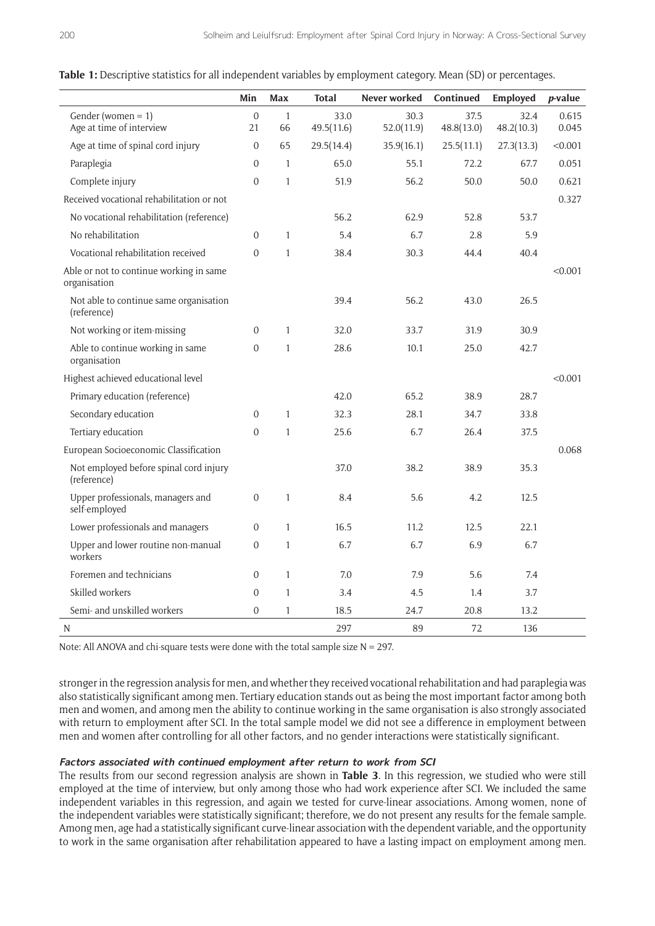|                                                         | Min                | Max                | <b>Total</b>       | Never worked       | Continued          | Employed           | $p$ -value     |
|---------------------------------------------------------|--------------------|--------------------|--------------------|--------------------|--------------------|--------------------|----------------|
| Gender (women = $1$ )<br>Age at time of interview       | $\mathbf{0}$<br>21 | $\mathbf{1}$<br>66 | 33.0<br>49.5(11.6) | 30.3<br>52.0(11.9) | 37.5<br>48.8(13.0) | 32.4<br>48.2(10.3) | 0.615<br>0.045 |
| Age at time of spinal cord injury                       | $\mathbf{0}$       | 65                 | 29.5(14.4)         | 35.9(16.1)         | 25.5(11.1)         | 27.3(13.3)         | < 0.001        |
| Paraplegia                                              | $\mathbf{0}$       | $\mathbf{1}$       | 65.0               | 55.1               | 72.2               | 67.7               | 0.051          |
| Complete injury                                         | $\overline{0}$     | $\mathbf{1}$       | 51.9               | 56.2               | 50.0               | 50.0               | 0.621          |
| Received vocational rehabilitation or not               |                    |                    |                    |                    |                    |                    | 0.327          |
| No vocational rehabilitation (reference)                |                    |                    | 56.2               | 62.9               | 52.8               | 53.7               |                |
| No rehabilitation                                       | $\Omega$           | $\mathbf{1}$       | 5.4                | 6.7                | 2.8                | 5.9                |                |
| Vocational rehabilitation received                      | $\overline{0}$     | $\mathbf{1}$       | 38.4               | 30.3               | 44.4               | 40.4               |                |
| Able or not to continue working in same<br>organisation |                    |                    |                    |                    |                    |                    | < 0.001        |
| Not able to continue same organisation<br>(reference)   |                    |                    | 39.4               | 56.2               | 43.0               | 26.5               |                |
| Not working or item-missing                             | $\Omega$           | $\mathbf{1}$       | 32.0               | 33.7               | 31.9               | 30.9               |                |
| Able to continue working in same<br>organisation        | $\Omega$           | 1                  | 28.6               | 10.1               | 25.0               | 42.7               |                |
| Highest achieved educational level                      |                    |                    |                    |                    |                    |                    | < 0.001        |
| Primary education (reference)                           |                    |                    | 42.0               | 65.2               | 38.9               | 28.7               |                |
| Secondary education                                     | $\Omega$           | $\mathbf{1}$       | 32.3               | 28.1               | 34.7               | 33.8               |                |
| Tertiary education                                      | $\Omega$           | $\mathbf{1}$       | 25.6               | 6.7                | 26.4               | 37.5               |                |
| European Socioeconomic Classification                   |                    |                    |                    |                    |                    |                    | 0.068          |
| Not employed before spinal cord injury<br>(reference)   |                    |                    | 37.0               | 38.2               | 38.9               | 35.3               |                |
| Upper professionals, managers and<br>self-employed      | $\overline{0}$     | $\mathbf{1}$       | 8.4                | 5.6                | 4.2                | 12.5               |                |
| Lower professionals and managers                        | $\Omega$           | $\mathbf{1}$       | 16.5               | 11.2               | 12.5               | 22.1               |                |
| Upper and lower routine non-manual<br>workers           | $\overline{0}$     | $\mathbf{1}$       | 6.7                | 6.7                | 6.9                | 6.7                |                |
| Foremen and technicians                                 | $\Omega$           | 1                  | 7.0                | 7.9                | 5.6                | 7.4                |                |
| Skilled workers                                         | $\boldsymbol{0}$   | $\mathbf{1}$       | 3.4                | 4.5                | 1.4                | 3.7                |                |
| Semi- and unskilled workers                             | $\overline{0}$     | 1                  | 18.5               | 24.7               | 20.8               | 13.2               |                |
| N                                                       |                    |                    | 297                | 89                 | 72                 | 136                |                |

|  |  |  |  | <b>Table 1:</b> Descriptive statistics for all independent variables by employment category. Mean (SD) or percentages. |  |  |  |  |  |  |
|--|--|--|--|------------------------------------------------------------------------------------------------------------------------|--|--|--|--|--|--|
|--|--|--|--|------------------------------------------------------------------------------------------------------------------------|--|--|--|--|--|--|

Note: All ANOVA and chi-square tests were done with the total sample size  $N = 297$ .

stronger in the regression analysis for men, and whether they received vocational rehabilitation and had paraplegia was also statistically significant among men. Tertiary education stands out as being the most important factor among both men and women, and among men the ability to continue working in the same organisation is also strongly associated with return to employment after SCI. In the total sample model we did not see a difference in employment between men and women after controlling for all other factors, and no gender interactions were statistically significant.

#### **Factors associated with continued employment after return to work from SCI**

The results from our second regression analysis are shown in **Table 3**. In this regression, we studied who were still employed at the time of interview, but only among those who had work experience after SCI. We included the same independent variables in this regression, and again we tested for curve-linear associations. Among women, none of the independent variables were statistically significant; therefore, we do not present any results for the female sample. Among men, age had a statistically significant curve-linear association with the dependent variable, and the opportunity to work in the same organisation after rehabilitation appeared to have a lasting impact on employment among men.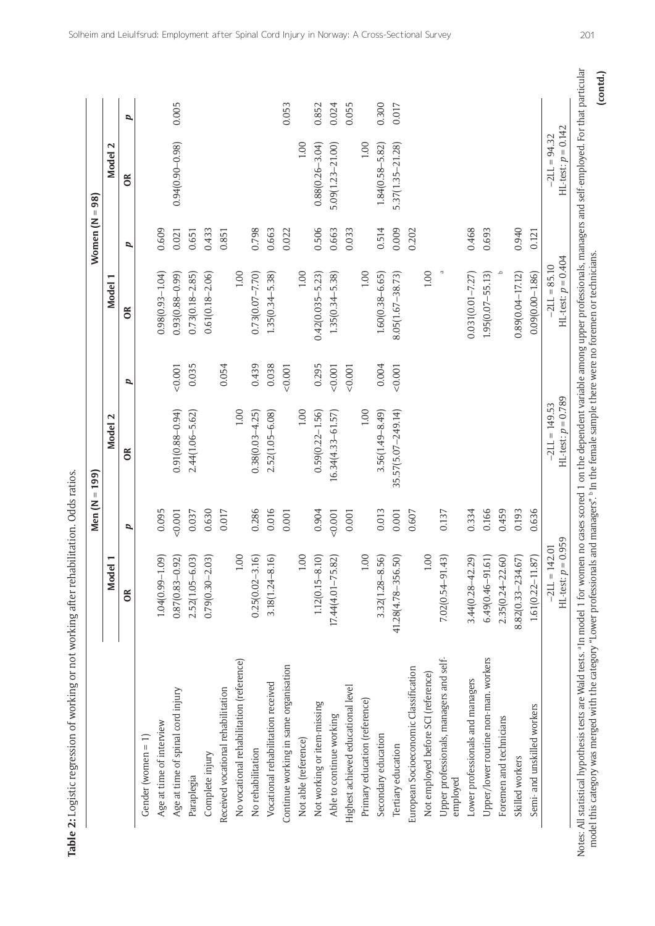| 1                                |                                                                                              |  |
|----------------------------------|----------------------------------------------------------------------------------------------|--|
|                                  |                                                                                              |  |
|                                  |                                                                                              |  |
| į                                |                                                                                              |  |
|                                  |                                                                                              |  |
|                                  |                                                                                              |  |
|                                  |                                                                                              |  |
|                                  |                                                                                              |  |
|                                  |                                                                                              |  |
|                                  |                                                                                              |  |
|                                  |                                                                                              |  |
|                                  |                                                                                              |  |
|                                  | ֦֧֧֧ׅ֧ׅ֧ׅ֧ׅ֧ׅ֧ׅ֧ׅ֧ׅ֧ׅ֧ׅ֧ׅ֧֧֚֚֚֚֚֚֚֚֚֚֚֚֚֚֚֚֚֚֚֚֚֚֚֚֚֚֚֚֝֝֝֝֝֝֝֬֝֓֝֬֜֜֜֜֜֜֜֜֜֜֜֝֬<br>$\vdots$ |  |
|                                  |                                                                                              |  |
|                                  |                                                                                              |  |
|                                  |                                                                                              |  |
|                                  |                                                                                              |  |
|                                  |                                                                                              |  |
|                                  |                                                                                              |  |
|                                  |                                                                                              |  |
|                                  |                                                                                              |  |
| こうき さつそう りょうこうこう こうこう こうしょう ろうごう |                                                                                              |  |
|                                  |                                                                                              |  |
|                                  |                                                                                              |  |
|                                  |                                                                                              |  |
|                                  |                                                                                              |  |
|                                  |                                                                                              |  |
|                                  |                                                                                              |  |
|                                  |                                                                                              |  |
|                                  |                                                                                              |  |
|                                  |                                                                                              |  |
|                                  |                                                                                              |  |
|                                  |                                                                                              |  |
|                                  |                                                                                              |  |
| こうここ そう しょうこうりょう うちょうこう          |                                                                                              |  |
|                                  |                                                                                              |  |
|                                  |                                                                                              |  |
|                                  |                                                                                              |  |
|                                  |                                                                                              |  |
|                                  |                                                                                              |  |
|                                  | !                                                                                            |  |
|                                  |                                                                                              |  |
|                                  |                                                                                              |  |
|                                  |                                                                                              |  |

|                                                     |                                            | Men (N | 199)<br>Ш                                |       |                                        | Women (N | $= 98$                                  |       |
|-----------------------------------------------------|--------------------------------------------|--------|------------------------------------------|-------|----------------------------------------|----------|-----------------------------------------|-------|
|                                                     | $\blacksquare$<br><b>Model</b>             |        | Model 2                                  |       | Model 1                                |          | Model 2                                 |       |
|                                                     | $\infty$                                   | p      | ទ័                                       | p     | $\frac{8}{2}$                          | p        | $\infty$                                | p     |
| Gender (women $= 1$ )                               |                                            |        |                                          |       |                                        |          |                                         |       |
| Age at time of interview                            | $1.04(0.99 - 1.09)$                        | 0.095  |                                          |       | $0.98(0.93 - 1.04)$                    | 0.609    |                                         |       |
| Age at time of spinal cord injury                   | $0.87(0.83 - 0.92)$                        | 0.001  | $0.91(0.88 - 0.94)$                      | 0.001 | $(66.0 - 88.0)$ Ee                     | 0.021    | $0.94(0.90 - 0.98)$                     | 0.005 |
| Paraplegia                                          | $2.52(1.05 - 6.03)$                        | 0.037  | 2.44(1.06-5.62)                          | 0.035 | $0.73(0.18 - 2.85)$                    | 0.651    |                                         |       |
| Complete injury                                     | $0.79(0.30 - 2.03)$                        | 0.630  |                                          |       | $0.61(0.18 - 2.06)$                    | 0.433    |                                         |       |
| Received vocational rehabilitation                  |                                            | 0.017  |                                          | 0.054 |                                        | 0.851    |                                         |       |
| No vocational rehabilitation (reference)            | 1.00                                       |        | 1.00                                     |       | 1.00                                   |          |                                         |       |
| No rehabilitation                                   | $0.25(0.02 - 3.16)$                        | 0.286  | $0.38(0.03 - 4.25)$                      | 0.439 | $0.73(0.07 - 7.70)$                    | 0.798    |                                         |       |
| Vocational rehabilitation received                  | $3.18(1.24 - 8.16)$                        | 0.016  | $2.52(1.05 - 6.08)$                      | 0.038 | $1.35(0.34 - 5.38)$                    | 0.663    |                                         |       |
| Continue working in same organisation               |                                            | 0.001  |                                          | 0.001 |                                        | 0.022    |                                         | 0.053 |
| Not able (reference)                                | 1.00                                       |        | 1.00                                     |       | 1.00                                   |          | 1.00                                    |       |
| Not working or item-missing                         | $1.12(0.15 - 8.10)$                        | 0.904  | $0.59(0.22 - 1.56)$                      | 0.295 | $0.42(0.035 - 5.23)$                   | 0.506    | $0.88(0.26 - 3.04)$                     | 0.852 |
| Able to continue working                            | $17.44(4.01 - 75.82)$                      | 0.001  | $16.34(4.33 - 61.57)$                    | 0.001 | $1.35(0.34 - 5.38)$                    | 0.663    | $5.09(1.23 - 21.00)$                    | 0.024 |
| Highest achieved educational level                  |                                            | 0.001  |                                          | 0.001 |                                        | 0.033    |                                         | 0.055 |
| Primary education (reference)                       | 1.00                                       |        | 1.00                                     |       | 1.00                                   |          | 1.00                                    |       |
| Secondary education                                 | $3.32(1.28 - 8.56)$                        | 0.013  | $3.56(1.49 - 8.49)$                      | 0.004 | $1.60(0.38 - 6.65)$                    | 0.514    | 1.84(0.58-5.82)                         | 0.300 |
| Tertiary education                                  | 41.28(4.78-356.50)                         | 0.001  | 35.57(5.07-249.14)                       | 0.001 | $8.05(1.67 - 38.73)$                   | 0.009    | $5.37(1.35 - 21.28)$                    | 0.017 |
| European Socioeconomic Classification               |                                            | 0.607  |                                          |       |                                        | 0.202    |                                         |       |
| Not employed before SCI (reference)                 | $1.00\,$                                   |        |                                          |       | $1.00\,$                               |          |                                         |       |
| Upper professionals, managers and self-<br>employed | $7.02(0.54 - 91.43)$                       | 0.137  |                                          |       |                                        |          |                                         |       |
| Lower professionals and managers                    | $3.44(0.28 - 42.29)$                       | 0.334  |                                          |       | $0.031(0.01 - 7.27)$                   | 0.468    |                                         |       |
| Upper/lower routine non-man. workers                | $6.49(0.46 - 91.61)$                       | 0.166  |                                          |       | $1.95(0.07 - 55.13)$                   | 0.693    |                                         |       |
| Foremen and technicians                             | $2.35(0.24 - 22.60)$                       | 0.459  |                                          |       |                                        |          |                                         |       |
| Skilled workers                                     | 8.82(0.33-234.67)                          | 0.193  |                                          |       | $0.89(0.04 - 17.12)$                   | 0.940    |                                         |       |
| Semi- and unskilled workers                         | $1.61(0.22 - 11.87)$                       | 0.636  |                                          |       | $0.09(0.00 - 1.86)$                    | 0.121    |                                         |       |
|                                                     | $HL$ -test: $p = 0.959$<br>$-2LL = 142.01$ |        | $H L-test: p = 0.789$<br>$-2LL = 149.53$ |       | $H1-test: p = 0.404$<br>$-21L = 85.10$ |          | $H L-test: p = 0.142$<br>$-2LL = 94.32$ |       |

Solheim and Leiulfsrud: Employment after Spinal Cord Injury in Norway: A Cross-Sectional Survey 201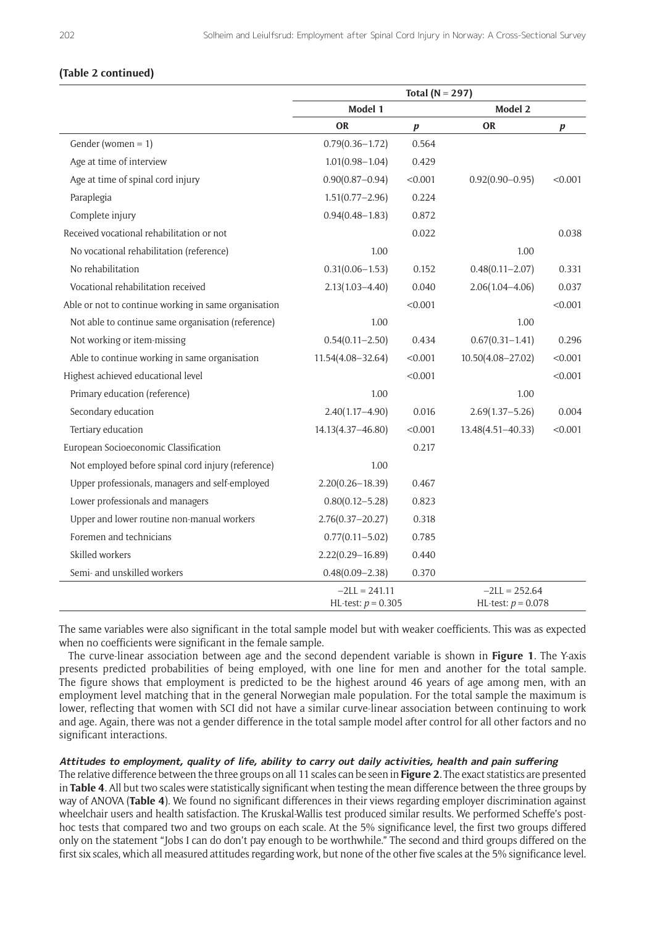# **(Table 2 continued)**

|                                                      |                                         | Total ( $N = 297$ ) |                                         |           |
|------------------------------------------------------|-----------------------------------------|---------------------|-----------------------------------------|-----------|
|                                                      | Model 1                                 |                     | Model 2                                 |           |
|                                                      | OR                                      | $\pmb{p}$           | <b>OR</b>                               | $\pmb{p}$ |
| Gender (women = 1)                                   | $0.79(0.36 - 1.72)$                     | 0.564               |                                         |           |
| Age at time of interview                             | $1.01(0.98 - 1.04)$                     | 0.429               |                                         |           |
| Age at time of spinal cord injury                    | $0.90(0.87 - 0.94)$                     | < 0.001             | $0.92(0.90 - 0.95)$                     | < 0.001   |
| Paraplegia                                           | $1.51(0.77 - 2.96)$                     | 0.224               |                                         |           |
| Complete injury                                      | $0.94(0.48 - 1.83)$                     | 0.872               |                                         |           |
| Received vocational rehabilitation or not            |                                         | 0.022               |                                         | 0.038     |
| No vocational rehabilitation (reference)             | 1.00                                    |                     | 1.00                                    |           |
| No rehabilitation                                    | $0.31(0.06 - 1.53)$                     | 0.152               | $0.48(0.11 - 2.07)$                     | 0.331     |
| Vocational rehabilitation received                   | $2.13(1.03 - 4.40)$                     | 0.040               | $2.06(1.04 - 4.06)$                     | 0.037     |
| Able or not to continue working in same organisation |                                         | < 0.001             |                                         | < 0.001   |
| Not able to continue same organisation (reference)   | 1.00                                    |                     | 1.00                                    |           |
| Not working or item-missing                          | $0.54(0.11 - 2.50)$                     | 0.434               | $0.67(0.31 - 1.41)$                     | 0.296     |
| Able to continue working in same organisation        | 11.54(4.08-32.64)                       | < 0.001             | $10.50(4.08 - 27.02)$                   | < 0.001   |
| Highest achieved educational level                   |                                         | < 0.001             |                                         | < 0.001   |
| Primary education (reference)                        | 1.00                                    |                     | 1.00                                    |           |
| Secondary education                                  | $2.40(1.17 - 4.90)$                     | 0.016               | $2.69(1.37 - 5.26)$                     | 0.004     |
| Tertiary education                                   | 14.13(4.37-46.80)                       | < 0.001             | 13.48(4.51-40.33)                       | < 0.001   |
| European Socioeconomic Classification                |                                         | 0.217               |                                         |           |
| Not employed before spinal cord injury (reference)   | 1.00                                    |                     |                                         |           |
| Upper professionals, managers and self-employed      | $2.20(0.26 - 18.39)$                    | 0.467               |                                         |           |
| Lower professionals and managers                     | $0.80(0.12 - 5.28)$                     | 0.823               |                                         |           |
| Upper and lower routine non-manual workers           | $2.76(0.37 - 20.27)$                    | 0.318               |                                         |           |
| Foremen and technicians                              | $0.77(0.11 - 5.02)$                     | 0.785               |                                         |           |
| Skilled workers                                      | $2.22(0.29 - 16.89)$                    | 0.440               |                                         |           |
| Semi- and unskilled workers                          | $0.48(0.09 - 2.38)$                     | 0.370               |                                         |           |
|                                                      | $-2LL = 241.11$<br>HL-test: $p = 0.305$ |                     | $-2LL = 252.64$<br>HL-test: $p = 0.078$ |           |

The same variables were also significant in the total sample model but with weaker coefficients. This was as expected when no coefficients were significant in the female sample.

The curve-linear association between age and the second dependent variable is shown in **Figure 1**. The Y-axis presents predicted probabilities of being employed, with one line for men and another for the total sample. The figure shows that employment is predicted to be the highest around 46 years of age among men, with an employment level matching that in the general Norwegian male population. For the total sample the maximum is lower, reflecting that women with SCI did not have a similar curve-linear association between continuing to work and age. Again, there was not a gender difference in the total sample model after control for all other factors and no significant interactions.

#### **Attitudes to employment, quality of life, ability to carry out daily activities, health and pain suffering**

The relative difference between the three groups on all 11 scales can be seen in **Figure 2**. The exact statistics are presented in **Table 4**. All but two scales were statistically significant when testing the mean difference between the three groups by way of ANOVA (**Table 4**). We found no significant differences in their views regarding employer discrimination against wheelchair users and health satisfaction. The Kruskal-Wallis test produced similar results. We performed Scheffe's posthoc tests that compared two and two groups on each scale. At the 5% significance level, the first two groups differed only on the statement "Jobs I can do don't pay enough to be worthwhile." The second and third groups differed on the first six scales, which all measured attitudes regarding work, but none of the other five scales at the 5% significance level.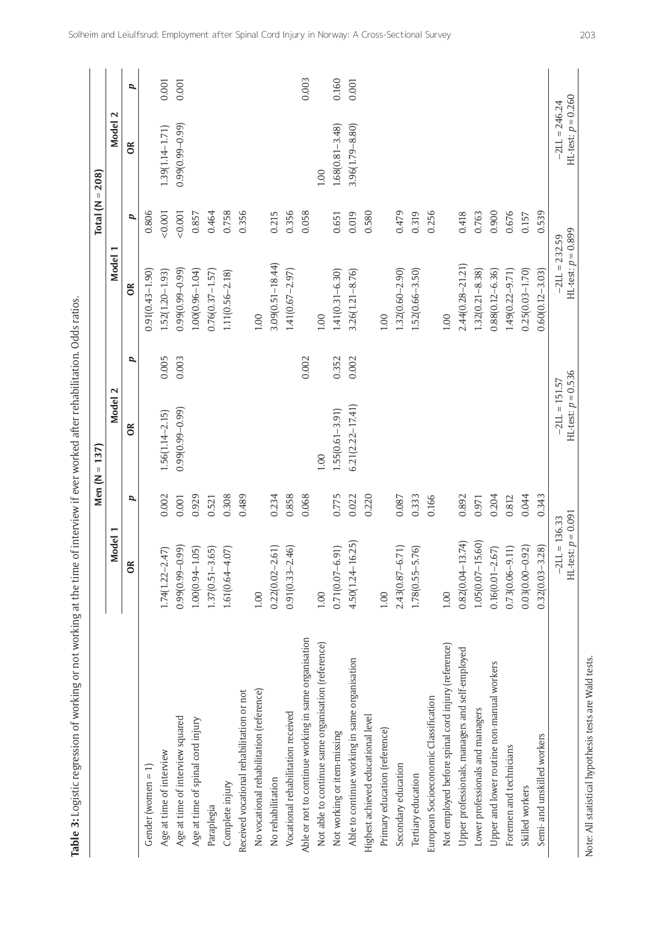|                                                        |                                         | Men $(N =$ | 137)                                    |                     |                                         | Total ( $N = 208$ ) |                                         |       |
|--------------------------------------------------------|-----------------------------------------|------------|-----------------------------------------|---------------------|-----------------------------------------|---------------------|-----------------------------------------|-------|
|                                                        | Model 1                                 |            | Model 2                                 |                     | Model 1                                 |                     | Model 2                                 |       |
|                                                        | $\epsilon$                              | p          | $\approx$                               | $\pmb{\mathcal{L}}$ | $\frac{8}{2}$                           | p                   | $\approx$                               | p     |
| Gender (women $= 1$ )                                  |                                         |            |                                         |                     | $0.91(0.43 - 1.90)$                     | 0.806               |                                         |       |
| Age at time of interview                               | 47)<br>$1.74(1.22 - 2.$                 | 0.002      | $1.56(1.14 - 2.15)$                     | 0.005               | $1.52(1.20 - 1.93)$                     | 0.001               | 1.39(1.14-1.71)                         | 0.001 |
| Age at time of interview squared                       | (66)<br>$0.99(0.99 - 0$                 | 0.001      | $0.99(0.99 - 0.99)$                     | 0.003               | $0.99(0.99 - 0.99)$                     | 0.001               | $0.99(0.99 - 0.99)$                     | 0.001 |
| Age at time of spinal cord injury                      | $1.00(0.94 - 1.05)$                     | 0.929      |                                         |                     | $1.00(0.96 - 1.04)$                     | 0.857               |                                         |       |
| Paraplegia                                             | $1.37(0.51 - 3.65)$                     | 0.521      |                                         |                     | $0.76(0.37 - 1.57)$                     | 0.464               |                                         |       |
| Complete injury                                        | (5)<br>$1.61(0.64 - 4)$                 | 0.308      |                                         |                     | $1.11(0.56 - 2.18)$                     | 0.758               |                                         |       |
| Received vocational rehabilitation or not              |                                         | 0.489      |                                         |                     |                                         | 0.356               |                                         |       |
| No vocational rehabilitation (reference)               | $1.00\,$                                |            |                                         |                     | 1.00                                    |                     |                                         |       |
| No rehabilitation                                      | (10.5)<br>$0.22(0.02 - 2$               | 0.234      |                                         |                     | $3.09(0.51 - 18.44)$                    | 0.215               |                                         |       |
| Vocational rehabilitation received                     | $0.91(0.33 - 2.46)$                     | 0.858      |                                         |                     | $1.41(0.67 - 2.97)$                     | 0.356               |                                         |       |
| Able or not to continue working in same organisation   |                                         | 0.068      |                                         | 0.002               |                                         | 0.058               |                                         | 0.003 |
| Not able to continue same organisation (reference)     | 1.00                                    |            | 1.00                                    |                     | 1.00                                    |                     | 1.00                                    |       |
| Not working or item-missing                            | $0.71(0.07 - 6.91)$                     | 0.775      | $1.55(0.61 - 3.91)$                     | 0.352               | $1.41(0.31 - 6.30)$                     | 0.651               | $1.68(0.81 - 3.48)$                     | 0.160 |
| Able to continue working in same organisation          | $4.50(1.24 - 16.25)$                    | 0.022      | $6.21(2.22 - 17.41)$                    | 0.002               | $3.26(1.21 - 8.76)$                     | 0.019               | $3.96(1.79 - 8.80)$                     | 0.001 |
| Highest achieved educational level                     |                                         | 0.220      |                                         |                     |                                         | 0.580               |                                         |       |
| Primary education (reference)                          | 1.00                                    |            |                                         |                     | 1.00                                    |                     |                                         |       |
| Secondary education                                    | $\overline{.71)}$<br>$2.43(0.87 - 6$    | 0.087      |                                         |                     | $1.32(0.60 - 2.90)$                     | 0.479               |                                         |       |
| Tertiary education                                     | .76)<br>$1.78(0.55 - 5$                 | 0.333      |                                         |                     | $1.52(0.66 - 3.50)$                     | 0.319               |                                         |       |
| European Socioeconomic Classification                  |                                         | 0.166      |                                         |                     |                                         | 0.256               |                                         |       |
| Not employed before spinal cord injury (reference)     | 1.00                                    |            |                                         |                     | 1.00                                    |                     |                                         |       |
| Upper professionals, managers and self-employed        | $0.82(0.04 - 13.74)$                    | 0.892      |                                         |                     | $2.44(0.28 - 21.21)$                    | 0.418               |                                         |       |
| Lower professionals and managers                       | $1.05(0.07 - 15.60)$                    | 0.971      |                                         |                     | $1.32(0.21 - 8.38)$                     | 0.763               |                                         |       |
| Upper and lower routine non-manual workers             | $0.16(0.01 - 2.67)$                     | 0.204      |                                         |                     | $0.88(0.12 - 6.36)$                     | 0.900               |                                         |       |
| Foremen and technicians                                | $0.73(0.06 - 9.11)$                     | 0.812      |                                         |                     | 1.49(0.22-9.71)                         | 0.676               |                                         |       |
| Skilled workers                                        | $0.03(0.00-0.92)$                       | 0.044      |                                         |                     | $0.25(0.03 - 1.70)$                     | 0.157               |                                         |       |
| Semi- and unskilled workers                            | $0.32(0.03 - 3.28)$                     | 0.343      |                                         |                     | $0.60(0.12 - 3.03)$                     | 0.539               |                                         |       |
|                                                        | HL-test: $p = 0.091$<br>$-2LL = 136.33$ |            | HL-test: $p = 0.536$<br>$-21L = 151.57$ |                     | HL-test: $p = 0.899$<br>$-21L = 232.59$ |                     | $HL-test: p = 0.260$<br>$-2LL = 246.24$ |       |
| Note: All statistical hypothesis tests are Wald tests. |                                         |            |                                         |                     |                                         |                     |                                         |       |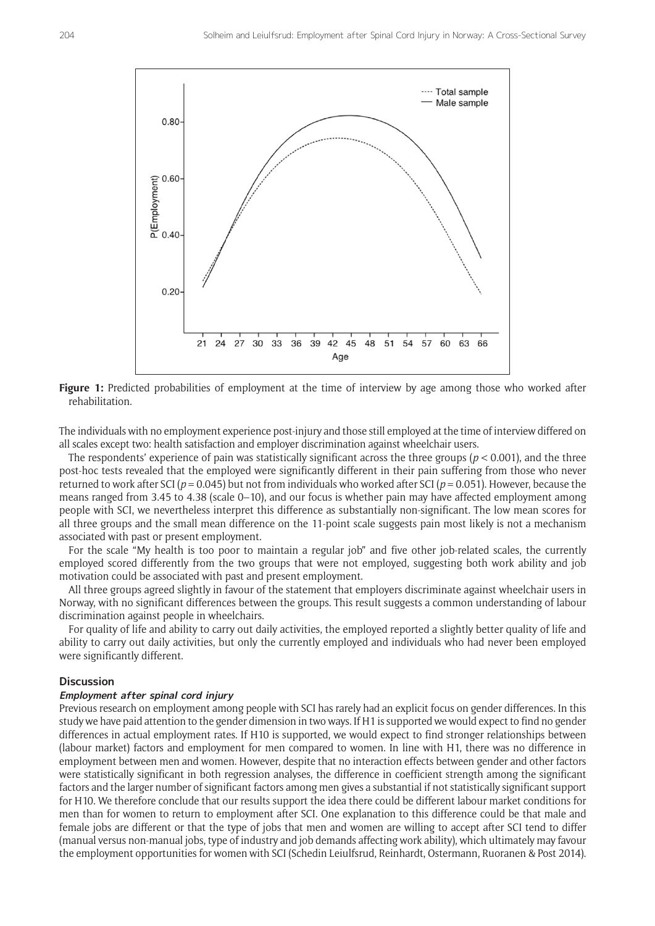

**Figure 1:** Predicted probabilities of employment at the time of interview by age among those who worked after rehabilitation.

The individuals with no employment experience post-injury and those still employed at the time of interview differed on all scales except two: health satisfaction and employer discrimination against wheelchair users.

The respondents' experience of pain was statistically significant across the three groups (*p* < 0.001), and the three post-hoc tests revealed that the employed were significantly different in their pain suffering from those who never returned to work after SCI (*p* = 0.045) but not from individuals who worked after SCI (*p* = 0.051). However, because the means ranged from 3.45 to 4.38 (scale 0–10), and our focus is whether pain may have affected employment among people with SCI, we nevertheless interpret this difference as substantially non-significant. The low mean scores for all three groups and the small mean difference on the 11-point scale suggests pain most likely is not a mechanism associated with past or present employment.

For the scale "My health is too poor to maintain a regular job" and five other job-related scales, the currently employed scored differently from the two groups that were not employed, suggesting both work ability and job motivation could be associated with past and present employment.

All three groups agreed slightly in favour of the statement that employers discriminate against wheelchair users in Norway, with no significant differences between the groups. This result suggests a common understanding of labour discrimination against people in wheelchairs.

For quality of life and ability to carry out daily activities, the employed reported a slightly better quality of life and ability to carry out daily activities, but only the currently employed and individuals who had never been employed were significantly different.

#### **Discussion**

# **Employment after spinal cord injury**

Previous research on employment among people with SCI has rarely had an explicit focus on gender differences. In this study we have paid attention to the gender dimension in two ways. If H1 is supported we would expect to find no gender differences in actual employment rates. If H10 is supported, we would expect to find stronger relationships between (labour market) factors and employment for men compared to women. In line with H1, there was no difference in employment between men and women. However, despite that no interaction effects between gender and other factors were statistically significant in both regression analyses, the difference in coefficient strength among the significant factors and the larger number of significant factors among men gives a substantial if not statistically significant support for H10. We therefore conclude that our results support the idea there could be different labour market conditions for men than for women to return to employment after SCI. One explanation to this difference could be that male and female jobs are different or that the type of jobs that men and women are willing to accept after SCI tend to differ (manual versus non-manual jobs, type of industry and job demands affecting work ability), which ultimately may favour the employment opportunities for women with SCI (Schedin Leiulfsrud, Reinhardt, Ostermann, Ruoranen & Post 2014).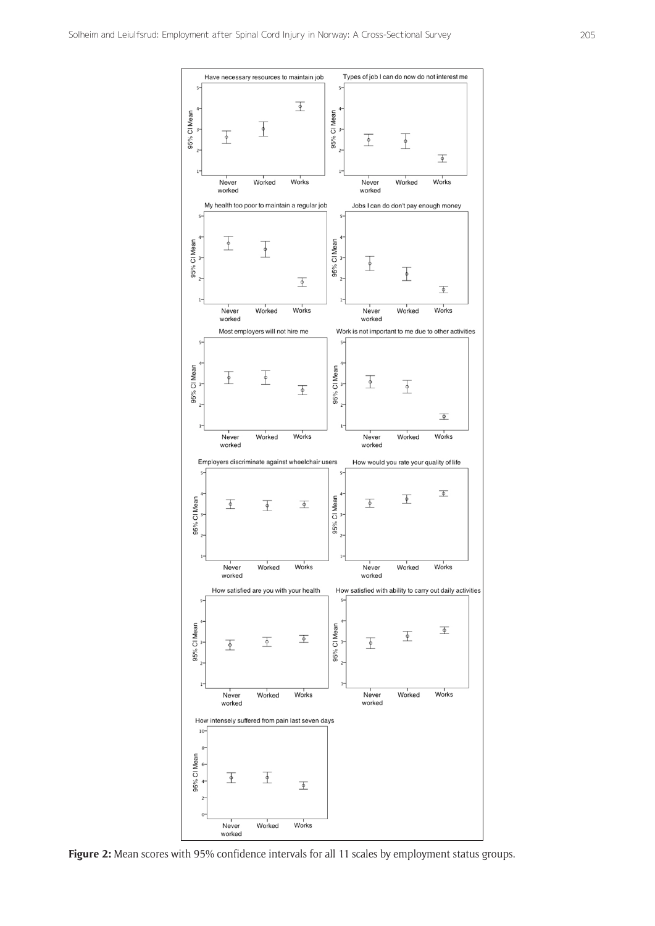

**Figure 2:** Mean scores with 95% confidence intervals for all 11 scales by employment status groups.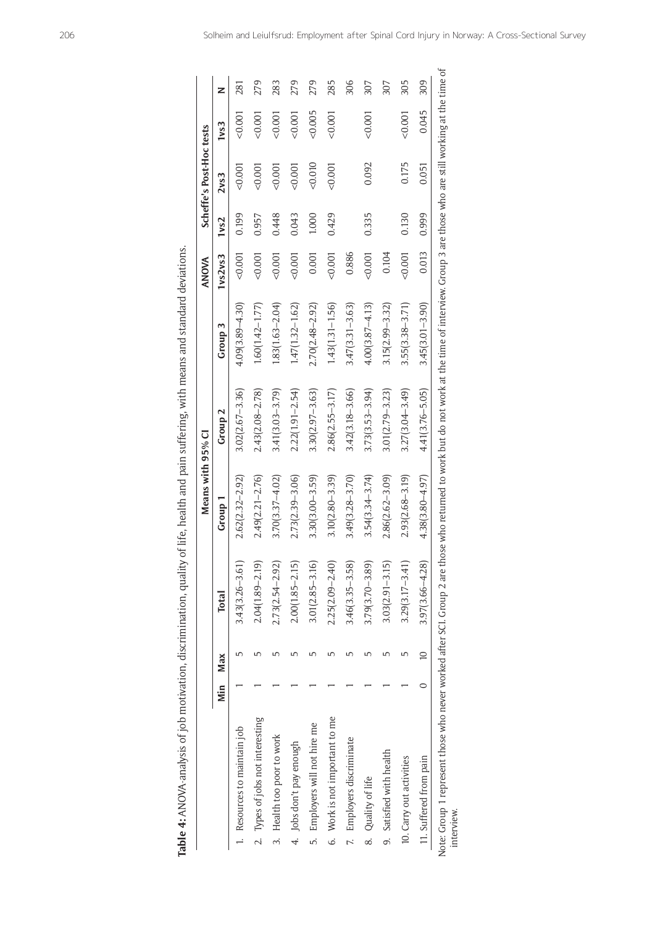| 1<br>しょこうこう こうりょう てんこう<br>; |
|-----------------------------|
|                             |
|                             |
|                             |
| -<br>-<br>-<br>-            |
|                             |
|                             |
| :<br>;                      |
| $\ddot{\bm{\zeta}}$<br>Ĩ,   |
| i                           |
|                             |
| $\frac{1}{2}$<br>ł          |
|                             |
|                             |
|                             |
|                             |
| $\vdots$                    |
|                             |
|                             |
| ir 4                        |
|                             |

|                                  |     |     |                 |                     | Means with 95% CI   |                     |                     | ANOVA   |       | Scheffe's Post-Hoc tests |         |     |
|----------------------------------|-----|-----|-----------------|---------------------|---------------------|---------------------|---------------------|---------|-------|--------------------------|---------|-----|
|                                  | Min | Max |                 | Total               | Group 1             | Group 2             | Group <sub>3</sub>  | 1vs2vs3 | 1vs2  | 2vs3                     | 1vs3    | z   |
| 1. Resources to maintain job     |     |     | "               | $3.43(3.26 - 3.61)$ | $2.62(2.32 - 2.92)$ | $3.02(2.67 - 3.36)$ | $4.09(3.89 - 4.30)$ | 0.001   | 0.199 | 0.001                    | 0.001   | 281 |
| 2. Types of jobs not interesting |     |     | "               | $2.04(1.89 - 2.19)$ | $2.49(2.21 - 2.76)$ | $2.43(2.08 - 2.78)$ | $1.60(1.42 - 1.77)$ | 0.001   | 0.957 | 0.001                    | 0.001   | 279 |
| 3. Health too poor to work       |     |     | ம               | $2.73(2.54 - 2.92)$ | $3.70(3.37 - 4.02)$ | $3.41(3.03 - 3.79)$ | $1.83(1.63 - 2.04)$ | 0.001   | 0.448 | < 0.001                  | 0.001   | 283 |
| 4. Jobs don't pay enough         |     |     |                 | $2.00(1.85 - 2.15)$ | 2.73(2.39–3.06)     | $2.22(1.91 - 2.54)$ | $1.47(1.32 - 1.62)$ | 0.001   | 0.043 | 0.001                    | 0.001   | 279 |
| 5. Employers will not hire me    |     |     |                 | $3.01(2.85 - 3.16)$ | $3.30(3.00 - 3.59)$ | $3.30(2.97 - 3.63)$ | $2.70(2.48 - 2.92)$ | 0.001   | 1.000 | 0.010                    | 0.005   | 279 |
| 6. Work is not important to me   |     |     |                 | $2.25(2.09 - 2.40)$ | $3.10(2.80 - 3.39)$ | $2.86(2.55 - 3.17)$ | $1.43(1.31 - 1.56)$ | 0.001   | 0.429 | 0.001                    | 0.001   | 285 |
| 7. Employers discriminate        |     |     | ம               | $3.46(3.35 - 3.58)$ | $3.49(3.28 - 3.70)$ | $3.42(3.18 - 3.66)$ | $3.47(3.31 - 3.63)$ | 0.886   |       |                          |         | 306 |
| 8. Quality of life               |     |     | ௴               | $3.79(3.70 - 3.89)$ | $3.54(3.34 - 3.74)$ | $3.73(3.53 - 3.94)$ | $4.00(3.87 - 4.13)$ | 0.001   | 0.335 | 0.092                    | < 0.001 | 307 |
| 9. Satisfied with health         |     |     | 5               | $3.03(2.91 - 3.15)$ | $2.86(2.62 - 3.09)$ | $3.01(2.79 - 3.23)$ | $3.15(2.99 - 3.32)$ | 0.104   |       |                          |         | 307 |
| 10. Carry out activities         |     |     | ω٢              | $3.29(3.17 - 3.41)$ | $2.93(2.68 - 3.19)$ | $3.27(3.04 - 3.49)$ | $3.55(3.38 - 3.71)$ | 0.001   | 0.130 | 0.175                    | 0.001   | 305 |
| 11. Suffered from pain           |     |     | $\overline{10}$ | $3.97(3.66 - 4.28)$ | $4.38(3.80 - 4.97)$ | $4.41(3.76 - 5.05)$ | $3.45(3.01 - 3.90)$ | 0.013   | 0.999 | 0.051                    | 0.045   | 309 |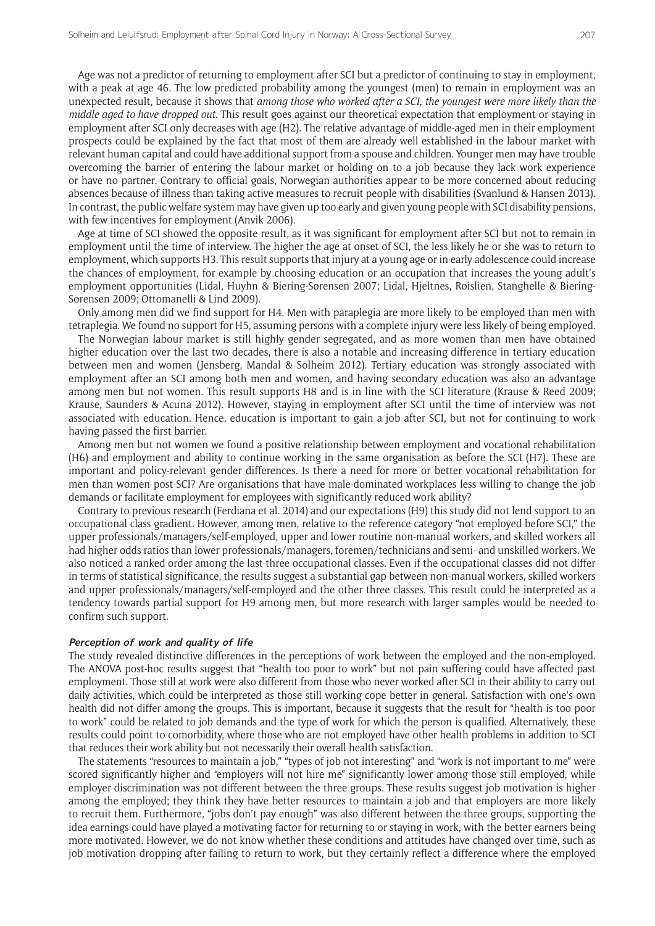Age was not a predictor of returning to employment after SCI but a predictor of continuing to stay in employment, with a peak at age 46. The low predicted probability among the youngest (men) to remain in employment was an unexpected result, because it shows that *among those who worked after a SCI, the youngest were more likely than the middle aged to have dropped out*. This result goes against our theoretical expectation that employment or staying in employment after SCI only decreases with age (H2). The relative advantage of middle-aged men in their employment prospects could be explained by the fact that most of them are already well established in the labour market with relevant human capital and could have additional support from a spouse and children. Younger men may have trouble overcoming the barrier of entering the labour market or holding on to a job because they lack work experience or have no partner. Contrary to official goals, Norwegian authorities appear to be more concerned about reducing absences because of illness than taking active measures to recruit people with disabilities (Svanlund & Hansen 2013). In contrast, the public welfare system may have given up too early and given young people with SCI disability pensions, with few incentives for employment (Anvik 2006).

Age at time of SCI showed the opposite result, as it was significant for employment after SCI but not to remain in employment until the time of interview. The higher the age at onset of SCI, the less likely he or she was to return to employment, which supports H3. This result supports that injury at a young age or in early adolescence could increase the chances of employment, for example by choosing education or an occupation that increases the young adult's employment opportunities (Lidal, Huyhn & Biering-Sørensen 2007; Lidal, Hjeltnes, Røislien, Stanghelle & Biering-Sørensen 2009; Ottomanelli & Lind 2009).

Only among men did we find support for H4. Men with paraplegia are more likely to be employed than men with tetraplegia. We found no support for H5, assuming persons with a complete injury were less likely of being employed.

The Norwegian labour market is still highly gender segregated, and as more women than men have obtained higher education over the last two decades, there is also a notable and increasing difference in tertiary education between men and women (Jensberg, Mandal & Solheim 2012). Tertiary education was strongly associated with employment after an SCI among both men and women, and having secondary education was also an advantage among men but not women. This result supports H8 and is in line with the SCI literature (Krause & Reed 2009; Krause, Saunders & Acuna 2012). However, staying in employment after SCI until the time of interview was not associated with education. Hence, education is important to gain a job after SCI, but not for continuing to work having passed the first barrier.

Among men but not women we found a positive relationship between employment and vocational rehabilitation (H6) and employment and ability to continue working in the same organisation as before the SCI (H7). These are important and policy-relevant gender differences. Is there a need for more or better vocational rehabilitation for men than women post-SCI? Are organisations that have male-dominated workplaces less willing to change the job demands or facilitate employment for employees with significantly reduced work ability?

Contrary to previous research (Ferdiana et al. 2014) and our expectations (H9) this study did not lend support to an occupational class gradient. However, among men, relative to the reference category "not employed before SCI," the upper professionals/managers/self-employed, upper and lower routine non-manual workers, and skilled workers all had higher odds ratios than lower professionals/managers, foremen/technicians and semi- and unskilled workers. We also noticed a ranked order among the last three occupational classes. Even if the occupational classes did not differ in terms of statistical significance, the results suggest a substantial gap between non-manual workers, skilled workers and upper professionals/managers/self-employed and the other three classes. This result could be interpreted as a tendency towards partial support for H9 among men, but more research with larger samples would be needed to confirm such support.

#### **Perception of work and quality of life**

The study revealed distinctive differences in the perceptions of work between the employed and the non-employed. The ANOVA post-hoc results suggest that "health too poor to work" but not pain suffering could have affected past employment. Those still at work were also different from those who never worked after SCI in their ability to carry out daily activities, which could be interpreted as those still working cope better in general. Satisfaction with one's own health did not differ among the groups. This is important, because it suggests that the result for "health is too poor to work" could be related to job demands and the type of work for which the person is qualified. Alternatively, these results could point to comorbidity, where those who are not employed have other health problems in addition to SCI that reduces their work ability but not necessarily their overall health satisfaction.

The statements "resources to maintain a job," "types of job not interesting" and "work is not important to me" were scored significantly higher and "employers will not hire me" significantly lower among those still employed, while employer discrimination was not different between the three groups. These results suggest job motivation is higher among the employed; they think they have better resources to maintain a job and that employers are more likely to recruit them. Furthermore, "jobs don't pay enough" was also different between the three groups, supporting the idea earnings could have played a motivating factor for returning to or staying in work, with the better earners being more motivated. However, we do not know whether these conditions and attitudes have changed over time, such as job motivation dropping after failing to return to work, but they certainly reflect a difference where the employed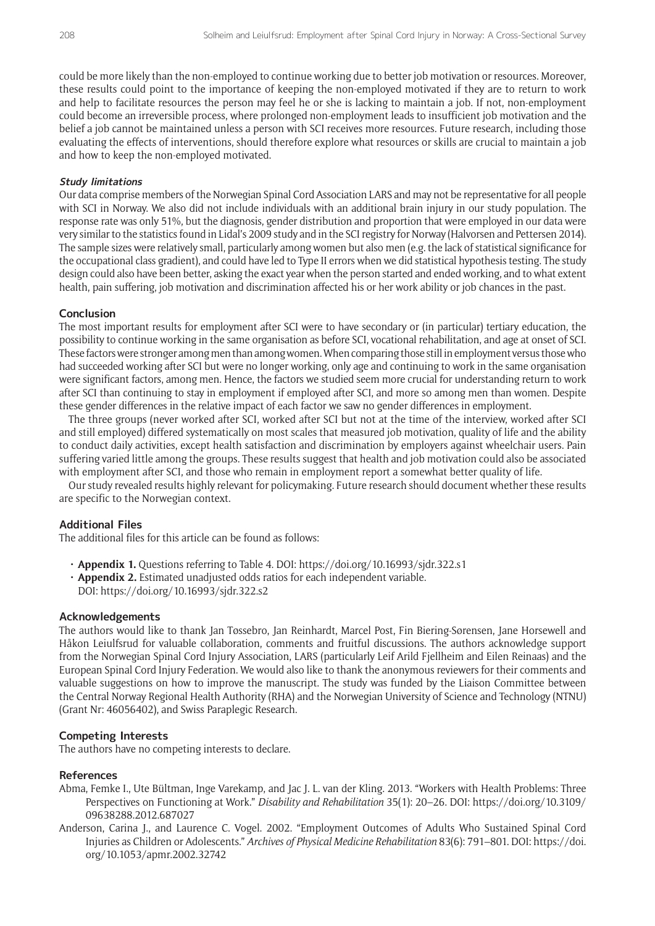could be more likely than the non-employed to continue working due to better job motivation or resources. Moreover, these results could point to the importance of keeping the non-employed motivated if they are to return to work and help to facilitate resources the person may feel he or she is lacking to maintain a job. If not, non-employment could become an irreversible process, where prolonged non-employment leads to insufficient job motivation and the belief a job cannot be maintained unless a person with SCI receives more resources. Future research, including those evaluating the effects of interventions, should therefore explore what resources or skills are crucial to maintain a job and how to keep the non-employed motivated.

#### **Study limitations**

Our data comprise members of the Norwegian Spinal Cord Association LARS and may not be representative for all people with SCI in Norway. We also did not include individuals with an additional brain injury in our study population. The response rate was only 51%, but the diagnosis, gender distribution and proportion that were employed in our data were very similar to the statistics found in Lidal's 2009 study and in the SCI registry for Norway (Halvorsen and Pettersen 2014). The sample sizes were relatively small, particularly among women but also men (e.g. the lack of statistical significance for the occupational class gradient), and could have led to Type II errors when we did statistical hypothesis testing. The study design could also have been better, asking the exact year when the person started and ended working, and to what extent health, pain suffering, job motivation and discrimination affected his or her work ability or job chances in the past.

#### **Conclusion**

The most important results for employment after SCI were to have secondary or (in particular) tertiary education, the possibility to continue working in the same organisation as before SCI, vocational rehabilitation, and age at onset of SCI. These factors were stronger among men than among women. When comparing those still in employment versus those who had succeeded working after SCI but were no longer working, only age and continuing to work in the same organisation were significant factors, among men. Hence, the factors we studied seem more crucial for understanding return to work after SCI than continuing to stay in employment if employed after SCI, and more so among men than women. Despite these gender differences in the relative impact of each factor we saw no gender differences in employment.

The three groups (never worked after SCI, worked after SCI but not at the time of the interview, worked after SCI and still employed) differed systematically on most scales that measured job motivation, quality of life and the ability to conduct daily activities, except health satisfaction and discrimination by employers against wheelchair users. Pain suffering varied little among the groups. These results suggest that health and job motivation could also be associated with employment after SCI, and those who remain in employment report a somewhat better quality of life.

Our study revealed results highly relevant for policymaking. Future research should document whether these results are specific to the Norwegian context.

#### **Additional Files**

The additional files for this article can be found as follows:

- **• Appendix 1.** Questions referring to Table 4. DOI: <https://doi.org/10.16993/sjdr.322.s1>
- **• Appendix 2.** Estimated unadjusted odds ratios for each independent variable. DOI:<https://doi.org/10.16993/sjdr.322.s2>

# **Acknowledgements**

The authors would like to thank Jan Tøssebro, Jan Reinhardt, Marcel Post, Fin Biering-Sørensen, Jane Horsewell and Håkon Leiulfsrud for valuable collaboration, comments and fruitful discussions. The authors acknowledge support from the Norwegian Spinal Cord Injury Association, LARS (particularly Leif Arild Fjellheim and Eilen Reinaas) and the European Spinal Cord Injury Federation. We would also like to thank the anonymous reviewers for their comments and valuable suggestions on how to improve the manuscript. The study was funded by the Liaison Committee between the Central Norway Regional Health Authority (RHA) and the Norwegian University of Science and Technology (NTNU) (Grant Nr: 46056402), and Swiss Paraplegic Research.

#### **Competing Interests**

The authors have no competing interests to declare.

#### **References**

- Abma, Femke I., Ute Bültman, Inge Varekamp, and Jac J. L. van der Kling. 2013. "Workers with Health Problems: Three Perspectives on Functioning at Work." *Disability and Rehabilitation* 35(1): 20–26. DOI: [https://doi.org/10.3109/](https://doi.org/10.3109/09638288.2012.687027) [09638288.2012.687027](https://doi.org/10.3109/09638288.2012.687027)
- Anderson, Carina J., and Laurence C. Vogel. 2002. "Employment Outcomes of Adults Who Sustained Spinal Cord Injuries as Children or Adolescents." *Archives of Physical Medicine Rehabilitation* 83(6): 791–801. DOI: [https://doi.](https://doi.org/10.1053/apmr.2002.32742) [org/10.1053/apmr.2002.32742](https://doi.org/10.1053/apmr.2002.32742)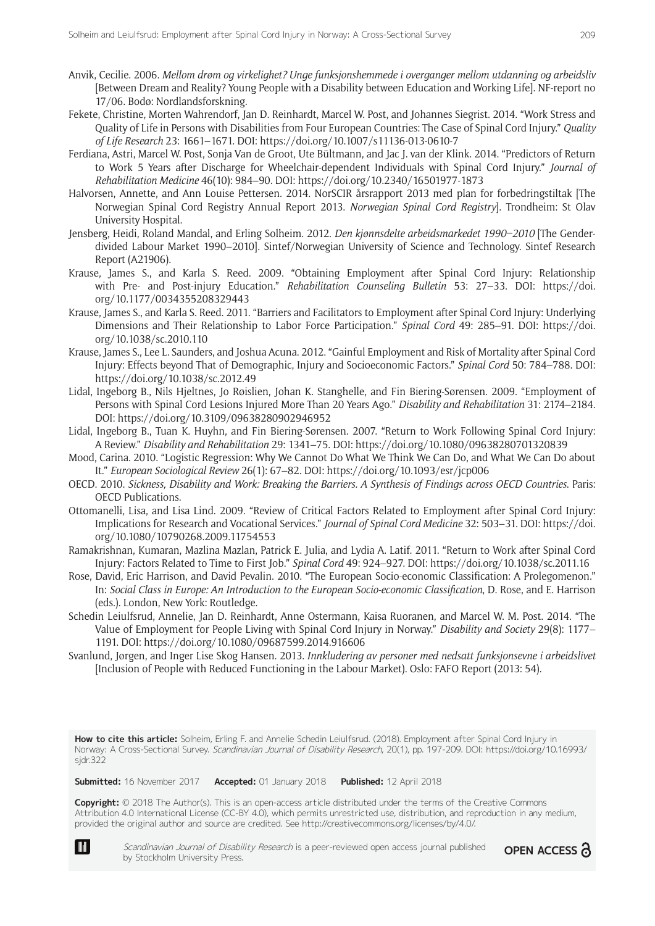- Anvik, Cecilie. 2006. *Mellom drøm og virkelighet? Unge funksjonshemmede i overganger mellom utdanning og arbeidsliv* [Between Dream and Reality? Young People with a Disability between Education and Working Life]. NF-report no 17/06. Bodø: Nordlandsforskning.
- Fekete, Christine, Morten Wahrendorf, Jan D. Reinhardt, Marcel W. Post, and Johannes Siegrist. 2014. "Work Stress and Quality of Life in Persons with Disabilities from Four European Countries: The Case of Spinal Cord Injury." *Quality of Life Research* 23: 1661–1671. DOI:<https://doi.org/10.1007/s11136-013-0610-7>
- Ferdiana, Astri, Marcel W. Post, Sonja Van de Groot, Ute Bültmann, and Jac J. van der Klink. 2014. "Predictors of Return to Work 5 Years after Discharge for Wheelchair-dependent Individuals with Spinal Cord Injury." *Journal of Rehabilitation Medicine* 46(10): 984–90. DOI: <https://doi.org/10.2340/16501977-1873>
- Halvorsen, Annette, and Ann Louise Pettersen. 2014. NorSCIR årsrapport 2013 med plan for forbedringstiltak [The Norwegian Spinal Cord Registry Annual Report 2013. *Norwegian Spinal Cord Registry*]. Trondheim: St Olav University Hospital.
- Jensberg, Heidi, Roland Mandal, and Erling Solheim. 2012. *Den kjønnsdelte arbeidsmarkedet 1990–2010* [The Genderdivided Labour Market 1990–2010]. Sintef/Norwegian University of Science and Technology. Sintef Research Report (A21906).
- Krause, James S., and Karla S. Reed. 2009. "Obtaining Employment after Spinal Cord Injury: Relationship with Pre- and Post-injury Education." *Rehabilitation Counseling Bulletin* 53: 27–33. DOI: [https://doi.](https://doi.org/10.1177/0034355208329443) [org/10.1177/0034355208329443](https://doi.org/10.1177/0034355208329443)
- Krause, James S., and Karla S. Reed. 2011. "Barriers and Facilitators to Employment after Spinal Cord Injury: Underlying Dimensions and Their Relationship to Labor Force Participation." *Spinal Cord* 49: 285–91. DOI: [https://doi.](https://doi.org/10.1038/sc.2010.110) [org/10.1038/sc.2010.110](https://doi.org/10.1038/sc.2010.110)
- Krause, James S., Lee L. Saunders, and Joshua Acuna. 2012. "Gainful Employment and Risk of Mortality after Spinal Cord Injury: Effects beyond That of Demographic, Injury and Socioeconomic Factors." *Spinal Cord* 50: 784–788. DOI: <https://doi.org/10.1038/sc.2012.49>
- Lidal, Ingeborg B., Nils Hjeltnes, Jo Røislien, Johan K. Stanghelle, and Fin Biering-Sørensen. 2009. "Employment of Persons with Spinal Cord Lesions Injured More Than 20 Years Ago." *Disability and Rehabilitation* 31: 2174–2184. DOI:<https://doi.org/10.3109/09638280902946952>
- Lidal, Ingeborg B., Tuan K. Huyhn, and Fin Biering-Sørensen. 2007. "Return to Work Following Spinal Cord Injury: A Review." *Disability and Rehabilitation* 29: 1341–75. DOI:<https://doi.org/10.1080/09638280701320839>
- Mood, Carina. 2010. "Logistic Regression: Why We Cannot Do What We Think We Can Do, and What We Can Do about It." *European Sociological Review* 26(1): 67–82. DOI:<https://doi.org/10.1093/esr/jcp006>
- OECD. 2010. *Sickness, Disability and Work: Breaking the Barriers. A Synthesis of Findings across OECD Countries*. Paris: OECD Publications.
- Ottomanelli, Lisa, and Lisa Lind. 2009. "Review of Critical Factors Related to Employment after Spinal Cord Injury: Implications for Research and Vocational Services." *Journal of Spinal Cord Medicine* 32: 503–31. DOI: [https://doi.](https://doi.org/10.1080/10790268.2009.11754553) [org/10.1080/10790268.2009.11754553](https://doi.org/10.1080/10790268.2009.11754553)
- Ramakrishnan, Kumaran, Mazlina Mazlan, Patrick E. Julia, and Lydia A. Latif. 2011. "Return to Work after Spinal Cord Injury: Factors Related to Time to First Job." *Spinal Cord* 49: 924–927. DOI:<https://doi.org/10.1038/sc.2011.16>
- Rose, David, Eric Harrison, and David Pevalin. 2010. "The European Socio-economic Classification: A Prolegomenon." In: *Social Class in Europe: An Introduction to the European Socio-economic Classification*, D. Rose, and E. Harrison (eds.). London, New York: Routledge.
- Schedin Leiulfsrud, Annelie, Jan D. Reinhardt, Anne Ostermann, Kaisa Ruoranen, and Marcel W. M. Post. 2014. "The Value of Employment for People Living with Spinal Cord Injury in Norway." *Disability and Society* 29(8): 1177– 1191. DOI: <https://doi.org/10.1080/09687599.2014.916606>
- Svanlund, Jørgen, and Inger Lise Skog Hansen. 2013. *Innkludering av personer med nedsatt funksjonsevne i arbeidslivet*  [Inclusion of People with Reduced Functioning in the Labour Market). Oslo: FAFO Report (2013: 54).

How to cite this article: Solheim, Erling F. and Annelie Schedin Leiulfsrud. (2018). Employment after Spinal Cord Injury in Norway: A Cross-Sectional Survey. Scandinavian Journal of Disability Research, 20(1), pp. 197-209. DOI: [https://doi.org/10.16993/](https://doi.org/10.16993/sjdr.322) [sjdr.322](https://doi.org/10.16993/sjdr.322)

**Submitted:** 16 November 2017 **Accepted:** 01 January 2018 **Published:** 12 April 2018

**Copyright:** © 2018 The Author(s). This is an open-access article distributed under the terms of the Creative Commons Attribution 4.0 International License (CC-BY 4.0), which permits unrestricted use, distribution, and reproduction in any medium, provided the original author and source are credited. See [http://creativecommons.org/licenses/by/4.0/.](http://creativecommons.org/licenses/by/4.0/)

Scandinavian Journal of Disability Research is a peer-reviewed open access journal published **OPEN ACCESS** by Stockholm University Press.